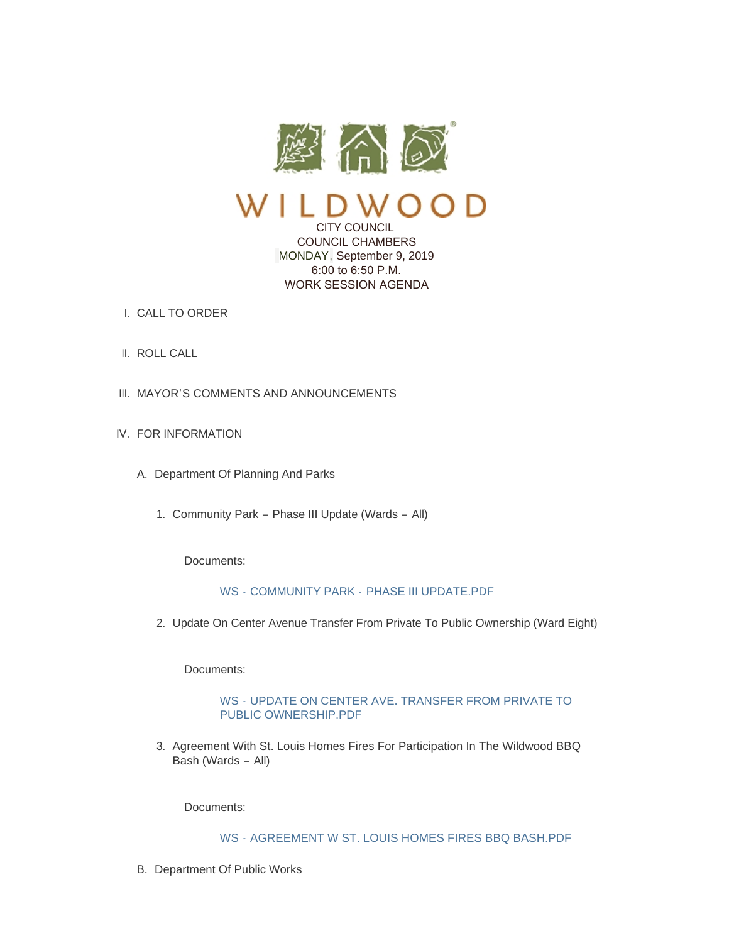

## CITY COUNCIL COUNCIL CHAMBERS MONDAY, September 9, 2019 6:00 to 6:50 P.M. WORK SESSION AGENDA

- CALL TO ORDER I.
- II. ROLL CALL
- III. MAYOR'S COMMENTS AND ANNOUNCEMENTS
- IV. FOR INFORMATION
	- A. Department Of Planning And Parks
		- 1. Community Park Phase III Update (Wards All)

Documents:

# WS - COMMUNITY PARK - [PHASE III UPDATE.PDF](https://www.cityofwildwood.com/AgendaCenter/ViewFile/Item/21905?fileID=27345)

2. Update On Center Avenue Transfer From Private To Public Ownership (Ward Eight)

Documents:

## WS - [UPDATE ON CENTER AVE. TRANSFER FROM PRIVATE TO](https://www.cityofwildwood.com/AgendaCenter/ViewFile/Item/21906?fileID=27361)  PUBLIC OWNERSHIP.PDF

3. Agreement With St. Louis Homes Fires For Participation In The Wildwood BBQ Bash (Wards – All)

Documents:

## WS - [AGREEMENT W ST. LOUIS HOMES FIRES BBQ BASH.PDF](https://www.cityofwildwood.com/AgendaCenter/ViewFile/Item/21907?fileID=27346)

B. Department Of Public Works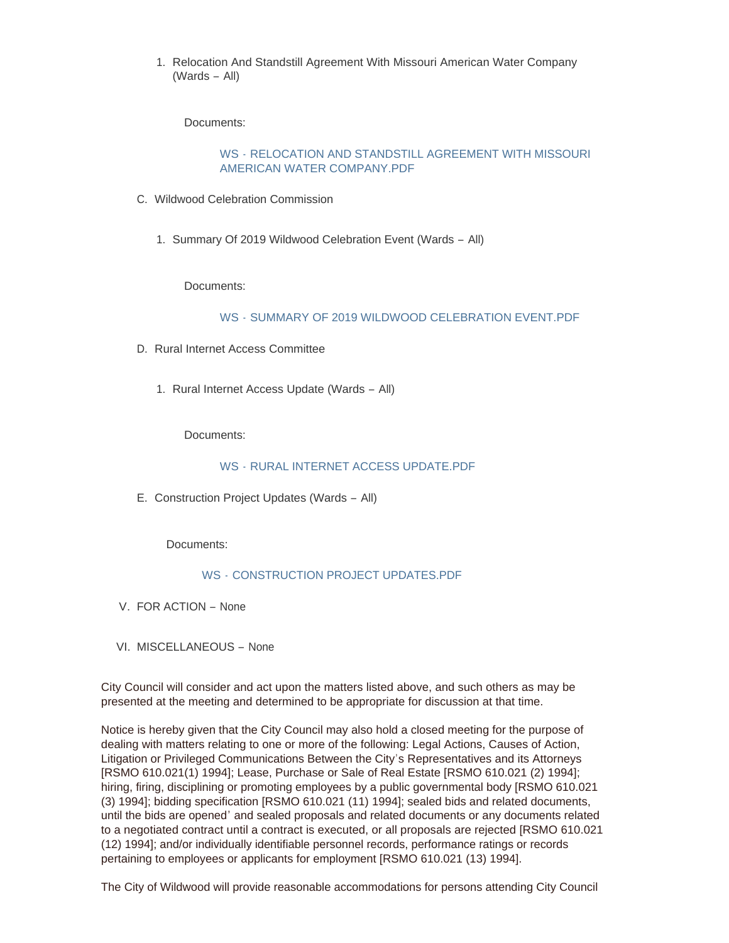1. Relocation And Standstill Agreement With Missouri American Water Company (Wards – All)

Documents:

## WS - [RELOCATION AND STANDSTILL AGREEMENT WITH MISSOURI](https://www.cityofwildwood.com/AgendaCenter/ViewFile/Item/21909?fileID=27347)  AMERICAN WATER COMPANY.PDF

- C. Wildwood Celebration Commission
	- 1. Summary Of 2019 Wildwood Celebration Event (Wards All)

Documents:

WS - [SUMMARY OF 2019 WILDWOOD CELEBRATION EVENT.PDF](https://www.cityofwildwood.com/AgendaCenter/ViewFile/Item/21911?fileID=27348)

- D. Rural Internet Access Committee
	- 1. Rural Internet Access Update (Wards All)

Documents:

## WS - [RURAL INTERNET ACCESS UPDATE.PDF](https://www.cityofwildwood.com/AgendaCenter/ViewFile/Item/21913?fileID=27349)

E. Construction Project Updates (Wards - All)

Documents:

#### WS - [CONSTRUCTION PROJECT UPDATES.PDF](https://www.cityofwildwood.com/AgendaCenter/ViewFile/Item/21914?fileID=27350)

- V. FOR ACTION None
- VI. MISCELLANEOUS None

City Council will consider and act upon the matters listed above, and such others as may be presented at the meeting and determined to be appropriate for discussion at that time.

Notice is hereby given that the City Council may also hold a closed meeting for the purpose of dealing with matters relating to one or more of the following: Legal Actions, Causes of Action, Litigation or Privileged Communications Between the City's Representatives and its Attorneys [RSMO 610.021(1) 1994]; Lease, Purchase or Sale of Real Estate [RSMO 610.021 (2) 1994]; hiring, firing, disciplining or promoting employees by a public governmental body [RSMO 610.021 (3) 1994]; bidding specification [RSMO 610.021 (11) 1994]; sealed bids and related documents, until the bids are opened' and sealed proposals and related documents or any documents related to a negotiated contract until a contract is executed, or all proposals are rejected [RSMO 610.021 (12) 1994]; and/or individually identifiable personnel records, performance ratings or records pertaining to employees or applicants for employment [RSMO 610.021 (13) 1994].

The City of Wildwood will provide reasonable accommodations for persons attending City Council